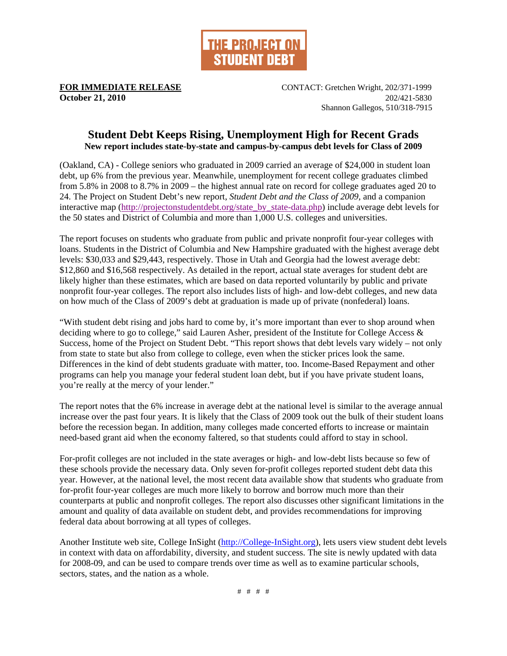

**FOR IMMEDIATE RELEASE** CONTACT: Gretchen Wright, 202/371-1999 **October 21, 2010** 202/421-5830 Shannon Gallegos, 510/318-7915

## **Student Debt Keeps Rising, Unemployment High for Recent Grads New report includes state-by-state and campus-by-campus debt levels for Class of 2009**

(Oakland, CA) - College seniors who graduated in 2009 carried an average of \$24,000 in student loan debt, up 6% from the previous year. Meanwhile, unemployment for recent college graduates climbed from 5.8% in 2008 to 8.7% in 2009 – the highest annual rate on record for college graduates aged 20 to 24. The Project on Student Debt's new report, *Student Debt and the Class of 2009,* and a companion interactive map (http://projectonstudentdebt.org/state by state-data.php) include average debt levels for the 50 states and District of Columbia and more than 1,000 U.S. colleges and universities.

The report focuses on students who graduate from public and private nonprofit four-year colleges with loans. Students in the District of Columbia and New Hampshire graduated with the highest average debt levels: \$30,033 and \$29,443, respectively. Those in Utah and Georgia had the lowest average debt: \$12,860 and \$16,568 respectively. As detailed in the report, actual state averages for student debt are likely higher than these estimates, which are based on data reported voluntarily by public and private nonprofit four-year colleges. The report also includes lists of high- and low-debt colleges, and new data on how much of the Class of 2009's debt at graduation is made up of private (nonfederal) loans.

"With student debt rising and jobs hard to come by, it's more important than ever to shop around when deciding where to go to college," said Lauren Asher, president of the Institute for College Access & Success, home of the Project on Student Debt. "This report shows that debt levels vary widely – not only from state to state but also from college to college, even when the sticker prices look the same. Differences in the kind of debt students graduate with matter, too. Income-Based Repayment and other programs can help you manage your federal student loan debt, but if you have private student loans, you're really at the mercy of your lender."

The report notes that the 6% increase in average debt at the national level is similar to the average annual increase over the past four years. It is likely that the Class of 2009 took out the bulk of their student loans before the recession began. In addition, many colleges made concerted efforts to increase or maintain need-based grant aid when the economy faltered, so that students could afford to stay in school.

For-profit colleges are not included in the state averages or high- and low-debt lists because so few of these schools provide the necessary data. Only seven for-profit colleges reported student debt data this year. However, at the national level, the most recent data available show that students who graduate from for-profit four-year colleges are much more likely to borrow and borrow much more than their counterparts at public and nonprofit colleges. The report also discusses other significant limitations in the amount and quality of data available on student debt, and provides recommendations for improving federal data about borrowing at all types of colleges.

Another Institute web site, College InSight (http://College-InSight.org), lets users view student debt levels in context with data on affordability, diversity, and student success. The site is newly updated with data for 2008-09, and can be used to compare trends over time as well as to examine particular schools, sectors, states, and the nation as a whole.

# # # #